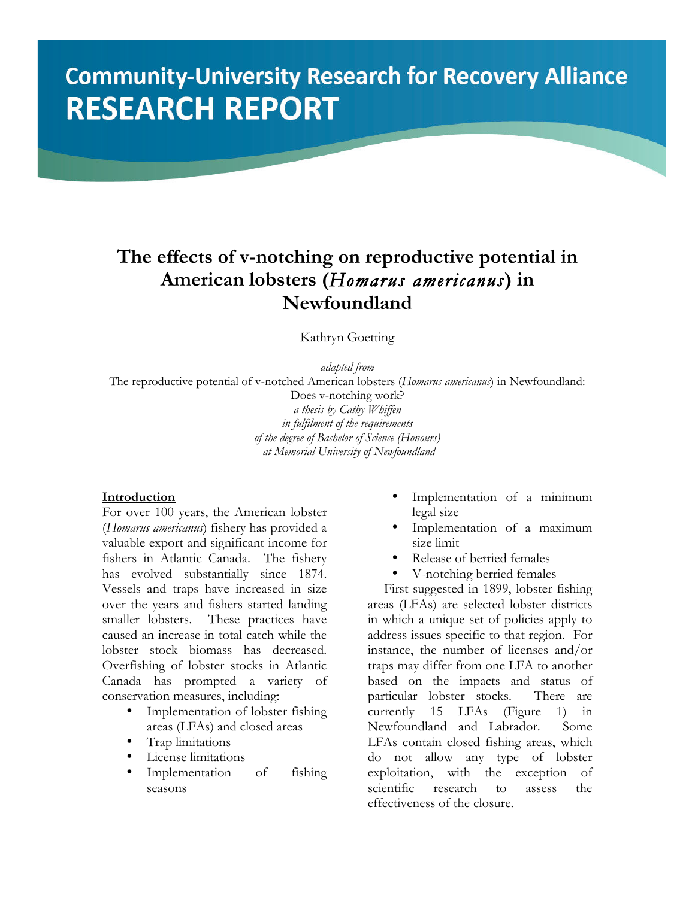# **Community-University Research for Recovery Alliance RESEARCH REPORT**

## **The effects of v-notching on reproductive potential in American lobsters (***Homarus americanus***) in Newfoundland**

Kathryn Goetting

*adapted from*

The reproductive potential of v-notched American lobsters (*Homarus americanus*) in Newfoundland:

Does v-notching work? *a thesis by Cathy Whiffen in fulfilment of the requirements of the degree of Bachelor of Science (Honours) at Memorial University of Newfoundland*

#### **Introduction**

For over 100 years, the American lobster (*Homarus americanus*) fishery has provided a valuable export and significant income for fishers in Atlantic Canada. The fishery has evolved substantially since 1874. Vessels and traps have increased in size over the years and fishers started landing smaller lobsters. These practices have caused an increase in total catch while the lobster stock biomass has decreased. Overfishing of lobster stocks in Atlantic Canada has prompted a variety of conservation measures, including:

- Implementation of lobster fishing areas (LFAs) and closed areas
- Trap limitations
- License limitations
- Implementation of fishing seasons
- Implementation of a minimum legal size
- Implementation of a maximum size limit
- Release of berried females
- V-notching berried females

First suggested in 1899, lobster fishing areas (LFAs) are selected lobster districts in which a unique set of policies apply to address issues specific to that region. For instance, the number of licenses and/or traps may differ from one LFA to another based on the impacts and status of particular lobster stocks. There are currently 15 LFAs (Figure 1) in Newfoundland and Labrador. Some LFAs contain closed fishing areas, which do not allow any type of lobster exploitation, with the exception of scientific research to assess the effectiveness of the closure.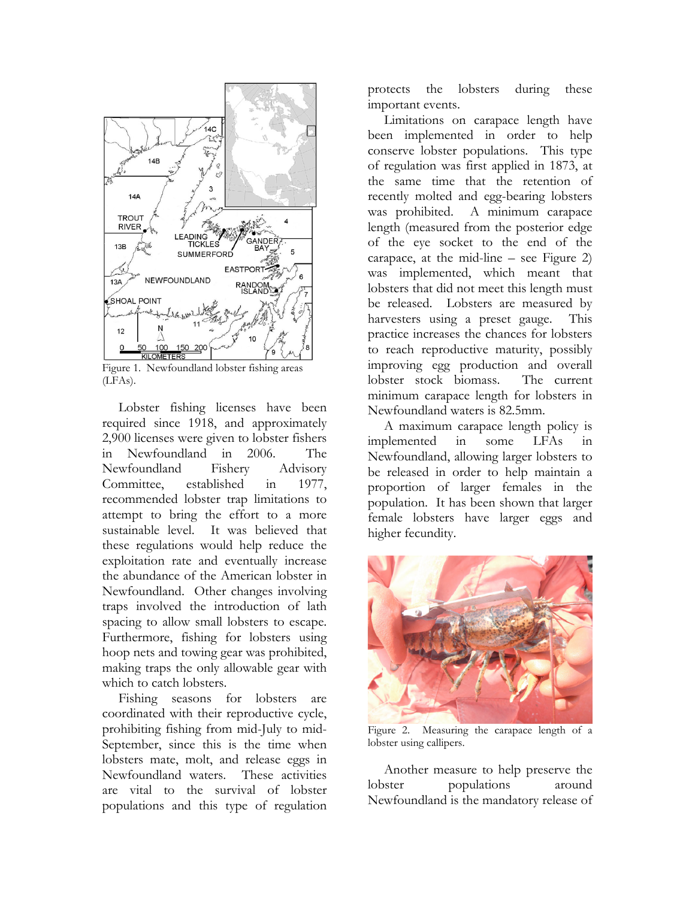

Figure 1. Newfoundland lobster fishing areas (LFAs).

Lobster fishing licenses have been required since 1918, and approximately 2,900 licenses were given to lobster fishers in Newfoundland in 2006. The Newfoundland Fishery Advisory Committee, established in 1977, recommended lobster trap limitations to attempt to bring the effort to a more sustainable level. It was believed that these regulations would help reduce the exploitation rate and eventually increase the abundance of the American lobster in Newfoundland. Other changes involving traps involved the introduction of lath spacing to allow small lobsters to escape. Furthermore, fishing for lobsters using hoop nets and towing gear was prohibited, making traps the only allowable gear with which to catch lobsters.

Fishing seasons for lobsters are coordinated with their reproductive cycle, prohibiting fishing from mid-July to mid-September, since this is the time when lobsters mate, molt, and release eggs in Newfoundland waters. These activities are vital to the survival of lobster populations and this type of regulation protects the lobsters during these important events.

Limitations on carapace length have been implemented in order to help conserve lobster populations. This type of regulation was first applied in 1873, at the same time that the retention of recently molted and egg-bearing lobsters was prohibited. A minimum carapace length (measured from the posterior edge of the eye socket to the end of the carapace, at the mid-line – see Figure 2) was implemented, which meant that lobsters that did not meet this length must be released. Lobsters are measured by harvesters using a preset gauge. This practice increases the chances for lobsters to reach reproductive maturity, possibly improving egg production and overall lobster stock biomass. The current minimum carapace length for lobsters in Newfoundland waters is 82.5mm.

A maximum carapace length policy is implemented in some LFAs in Newfoundland, allowing larger lobsters to be released in order to help maintain a proportion of larger females in the population. It has been shown that larger female lobsters have larger eggs and higher fecundity.



Figure 2. Measuring the carapace length of a lobster using callipers.

Another measure to help preserve the lobster populations around Newfoundland is the mandatory release of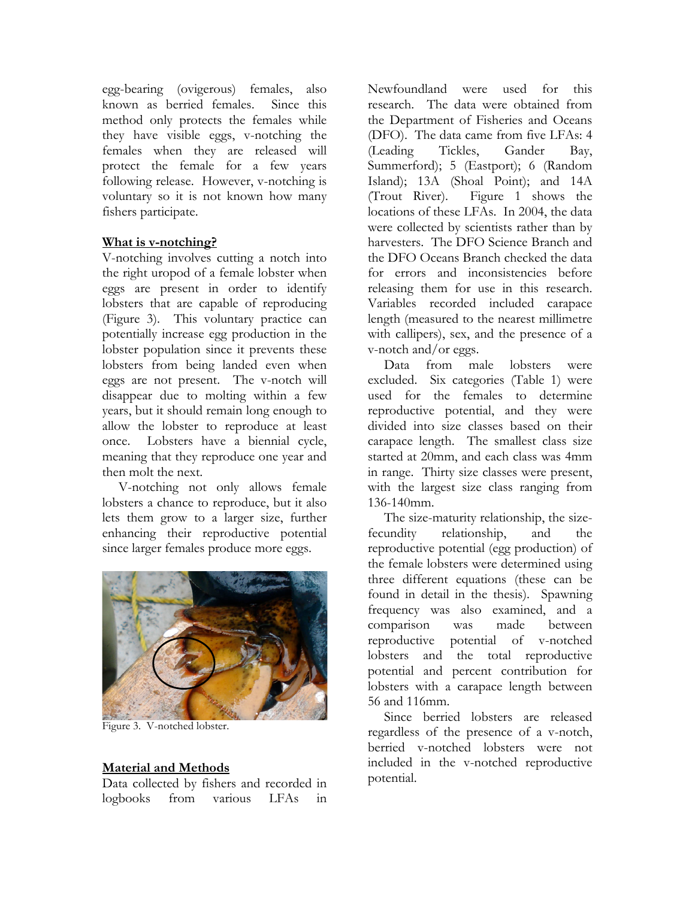egg-bearing (ovigerous) females, also known as berried females. Since this method only protects the females while they have visible eggs, v-notching the females when they are released will protect the female for a few years following release. However, v-notching is voluntary so it is not known how many fishers participate.

#### **What is v-notching?**

V-notching involves cutting a notch into the right uropod of a female lobster when eggs are present in order to identify lobsters that are capable of reproducing (Figure 3). This voluntary practice can potentially increase egg production in the lobster population since it prevents these lobsters from being landed even when eggs are not present. The v-notch will disappear due to molting within a few years, but it should remain long enough to allow the lobster to reproduce at least once. Lobsters have a biennial cycle, meaning that they reproduce one year and then molt the next.

V-notching not only allows female lobsters a chance to reproduce, but it also lets them grow to a larger size, further enhancing their reproductive potential since larger females produce more eggs.



Figure 3. V-notched lobster.

### **Material and Methods**

Data collected by fishers and recorded in logbooks from various LFAs in Newfoundland were used for this research. The data were obtained from the Department of Fisheries and Oceans (DFO). The data came from five LFAs: 4 (Leading Tickles, Gander Bay, Summerford); 5 (Eastport); 6 (Random Island); 13A (Shoal Point); and 14A (Trout River). Figure 1 shows the locations of these LFAs. In 2004, the data were collected by scientists rather than by harvesters. The DFO Science Branch and the DFO Oceans Branch checked the data for errors and inconsistencies before releasing them for use in this research. Variables recorded included carapace length (measured to the nearest millimetre with callipers), sex, and the presence of a v-notch and/or eggs.

Data from male lobsters were excluded. Six categories (Table 1) were used for the females to determine reproductive potential, and they were divided into size classes based on their carapace length. The smallest class size started at 20mm, and each class was 4mm in range. Thirty size classes were present, with the largest size class ranging from 136-140mm.

The size-maturity relationship, the sizefecundity relationship, and the reproductive potential (egg production) of the female lobsters were determined using three different equations (these can be found in detail in the thesis). Spawning frequency was also examined, and a comparison was made between reproductive potential of v-notched lobsters and the total reproductive potential and percent contribution for lobsters with a carapace length between 56 and 116mm.

Since berried lobsters are released regardless of the presence of a v-notch, berried v-notched lobsters were not included in the v-notched reproductive potential.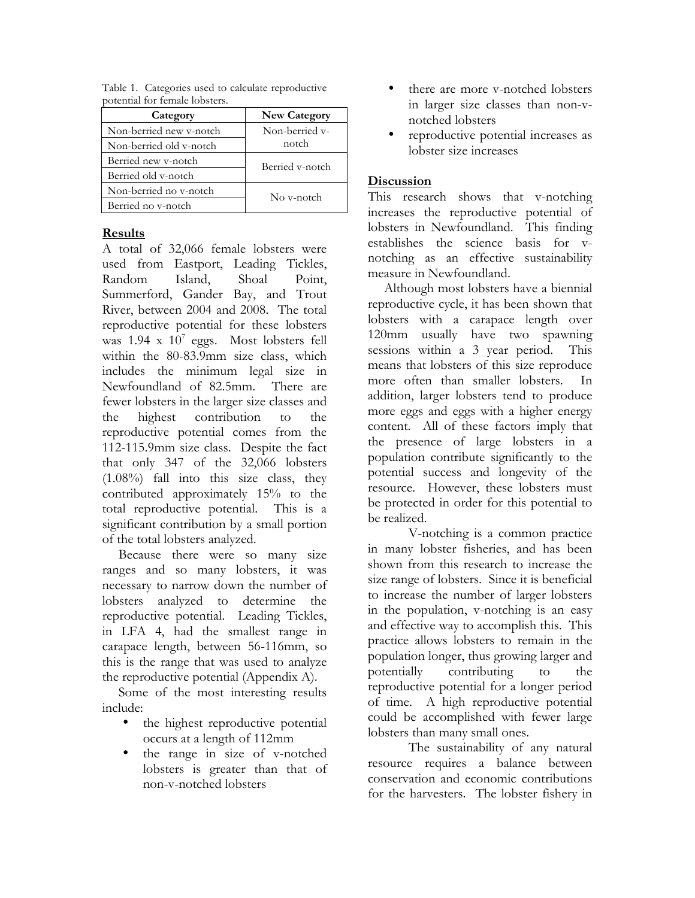| Category                | <b>New Category</b> |
|-------------------------|---------------------|
| Non-berried new v-notch | Non-berried v-      |
| Non-berried old v-notch | notch               |
| Berried new v-notch     | Berried v-notch     |
| Berried old v-notch     |                     |
| Non-berried no v-notch  | No v-notch          |
| Berried no v-notch      |                     |

Table 1. Categories used to calculate reproductive potential for female lobsters.

#### **Results**

A total of 32,066 female lobsters were used from Eastport, Leading Tickles, Random Island, Shoal Point, Summerford, Gander Bay, and Trout River, between 2004 and 2008. The total reproductive potential for these lobsters was  $1.94 \times 10^7$  eggs. Most lobsters fell within the 80-83.9mm size class, which includes the minimum legal size in Newfoundland of 82.5mm. There are fewer lobsters in the larger size classes and the highest contribution to the reproductive potential comes from the 112-115.9mm size class. Despite the fact that only 347 of the 32,066 lobsters (1.08%) fall into this size class, they contributed approximately 15% to the total reproductive potential. This is a significant contribution by a small portion of the total lobsters analyzed.

Because there were so many size ranges and so many lobsters, it was necessary to narrow down the number of lobsters analyzed to determine the reproductive potential. Leading Tickles, in LFA 4, had the smallest range in carapace length, between 56-116mm, so this is the range that was used to analyze the reproductive potential (Appendix A).

Some of the most interesting results include:

- the highest reproductive potential occurs at a length of 112mm
- the range in size of v-notched lobsters is greater than that of non-v-notched lobsters
- there are more v-notched lobsters in larger size classes than non-vnotched lobsters
- reproductive potential increases as lobster size increases

#### **Discussion**

This research shows that v-notching increases the reproductive potential of lobsters in Newfoundland. This finding establishes the science basis for vnotching as an effective sustainability measure in Newfoundland.

Although most lobsters have a biennial reproductive cycle, it has been shown that lobsters with a carapace length over 120mm usually have two spawning sessions within a 3 year period. This means that lobsters of this size reproduce more often than smaller lobsters. In addition, larger lobsters tend to produce more eggs and eggs with a higher energy content. All of these factors imply that the presence of large lobsters in a population contribute significantly to the potential success and longevity of the resource. However, these lobsters must be protected in order for this potential to be realized.

V-notching is a common practice in many lobster fisheries, and has been shown from this research to increase the size range of lobsters. Since it is beneficial to increase the number of larger lobsters in the population, v-notching is an easy and effective way to accomplish this. This practice allows lobsters to remain in the population longer, thus growing larger and potentially contributing to the reproductive potential for a longer period of time. A high reproductive potential could be accomplished with fewer large lobsters than many small ones.

The sustainability of any natural resource requires a balance between conservation and economic contributions for the harvesters. The lobster fishery in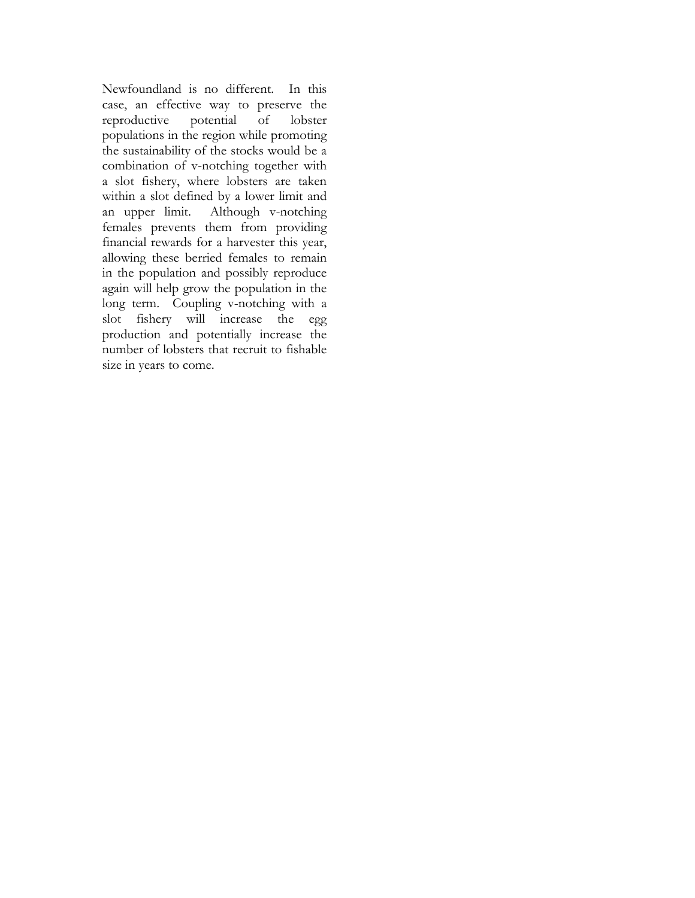Newfoundland is no different. In this case, an effective way to preserve the reproductive potential of lobster populations in the region while promoting the sustainability of the stocks would be a combination of v-notching together with a slot fishery, where lobsters are taken within a slot defined by a lower limit and an upper limit. Although v-notching females prevents them from providing financial rewards for a harvester this year, allowing these berried females to remain in the population and possibly reproduce again will help grow the population in the long term. Coupling v-notching with a slot fishery will increase the egg production and potentially increase the number of lobsters that recruit to fishable size in years to come.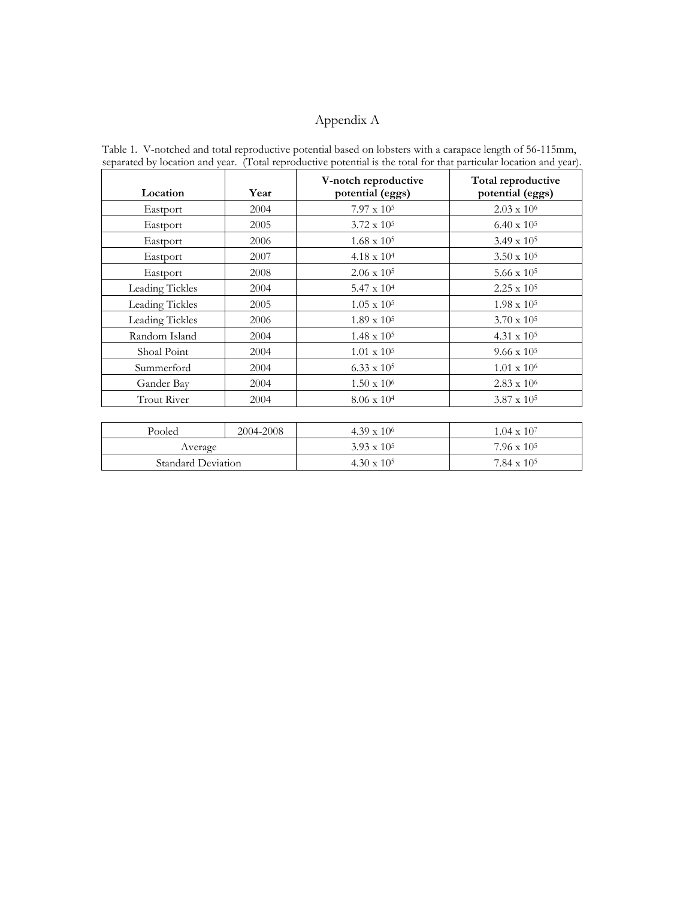#### Appendix A

**Location Year V-notch reproductive potential (eggs) Total reproductive potential (eggs)** Eastport 2004 7.97 x  $10^5$  2.03 x  $10^6$ Eastport 2005 3.72 x  $10^5$  6.40 x  $10^5$ Eastport 2006 1.68 x  $10^5$  3.49 x  $10^5$  3.49 x  $10^5$ Eastport 2007 4.18 x  $10^4$  3.50 x  $10^5$ Eastport 2008 2.06 x  $10^5$  5.66 x  $10^5$ Leading Tickles 2004 5.47 x  $10^4$  2.25 x  $10^5$ Leading Tickles 2005 1.05 x  $10^5$  1.98 x  $10^5$ Leading Tickles 2006 1.89 x 10<sup>5</sup> 3.70 x 10<sup>5</sup> Random Island 2004 1.48 x 10<sup>5</sup> 4.31 x 10<sup>5</sup> Shoal Point 2004 1.01 x 10<sup>5</sup> 9.66 x 10<sup>5</sup> Summerford 2004 6.33 x 10<sup>5</sup> 1.01 x 10<sup>6</sup> Gander Bay 2004 1.50 x 10<sup>6</sup> 2.83 x 10<sup>6</sup> 2.83 x 10<sup>6</sup> Trout River 2004 8.06 x  $10^4$  3.87 x  $10^5$ Pooled 2004-2008 4.39 x 10<sup>6</sup> 1.04 x 10<sup>7</sup> Average 3.93 x 10<sup>5</sup> 7.96 x 10<sup>5</sup> 7.96 x 10<sup>5</sup>

Standard Deviation 4.30 x 10<sup>5</sup> 7.84 x 10<sup>5</sup>

Table 1. V-notched and total reproductive potential based on lobsters with a carapace length of 56-115mm, separated by location and year. (Total reproductive potential is the total for that particular location and year).